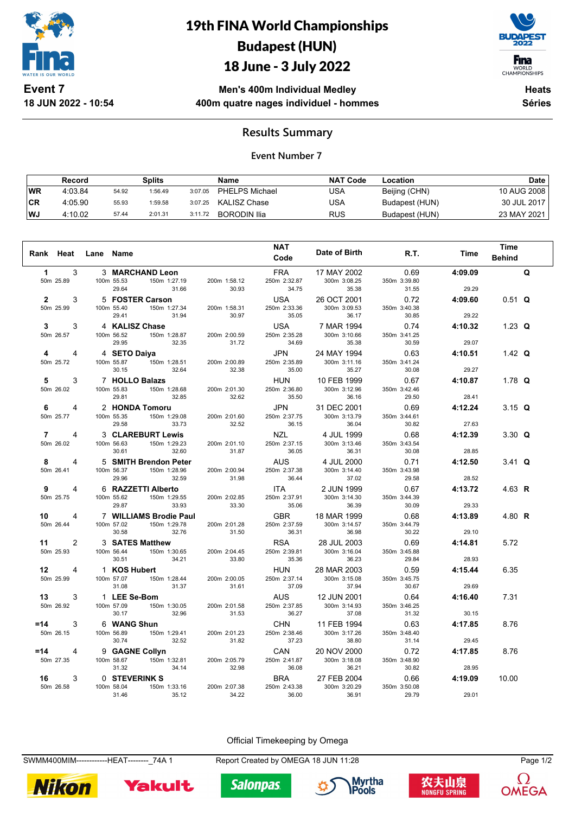

**18 JUN 2022 - 10:54**

# 19th FINA World Championships Budapest (HUN)

## 18 June - 3 July 2022



WORLD<br>CHAMPIONSHIPS

**Men's 400m Individual Medley 400m quatre nages individuel - hommes**

**Heats Séries**

### **Results Summary**

#### **Event Number 7**

|           | Record  |       | Splits  |         | <b>Name</b>         | <b>NAT Code</b> | ∟ocation       | <b>Date</b> |
|-----------|---------|-------|---------|---------|---------------------|-----------------|----------------|-------------|
| <b>WR</b> | 4:03.84 | 54.92 | 1:56.49 | 3:07.05 | PHELPS Michael      | USA             | Beijing (CHN)  | 10 AUG 2008 |
| ∣CR       | 4:05.90 | 55.93 | 1:59.58 | 3:07.25 | KALISZ Chase        | USA             | Budapest (HUN) | 30 JUL 2017 |
| WJ        | 4:10.02 | 57.44 | 2:01.31 | 3:11.72 | <b>BORODIN Ilia</b> | RUS             | Budapest (HUN) | 23 MAY 2021 |

| Rank Heat                        | Lane | Name                                                                     |                       | <b>NAT</b><br>Code                  | Date of Birth                        | R.T.                          | Time             | <b>Time</b><br><b>Behind</b> |   |
|----------------------------------|------|--------------------------------------------------------------------------|-----------------------|-------------------------------------|--------------------------------------|-------------------------------|------------------|------------------------------|---|
| 3<br>1<br>50m 25.89              |      | 3 MARCHAND Leon<br>100m 55.53<br>150m 1:27.19<br>29.64<br>31.66          | 200m 1:58.12<br>30.93 | <b>FRA</b><br>250m 2:32.87<br>34.75 | 17 MAY 2002<br>300m 3:08.25<br>35.38 | 0.69<br>350m 3:39.80<br>31.55 | 4:09.09<br>29.29 |                              | Q |
| 3<br>$\mathbf{2}$<br>50m 25.99   |      | 5 FOSTER Carson<br>100m 55.40<br>150m 1:27.34<br>29.41<br>31.94          | 200m 1:58.31<br>30.97 | <b>USA</b><br>250m 2:33.36<br>35.05 | 26 OCT 2001<br>300m 3:09.53<br>36.17 | 0.72<br>350m 3:40.38<br>30.85 | 4:09.60<br>29.22 | $0.51$ Q                     |   |
| 3<br>3<br>50m 26.57              |      | 4 KALISZ Chase<br>100m 56.52<br>150m 1:28.87<br>29.95<br>32.35           | 200m 2:00.59<br>31.72 | <b>USA</b><br>250m 2:35.28<br>34.69 | 7 MAR 1994<br>300m 3:10.66<br>35.38  | 0.74<br>350m 3:41.25<br>30.59 | 4:10.32<br>29.07 | 1.23 $Q$                     |   |
| 4<br>4<br>50m 25.72              |      | 4 SETO Daiya<br>100m 55.87<br>150m 1:28.51<br>30.15<br>32.64             | 200m 2:00.89<br>32.38 | <b>JPN</b><br>250m 2:35.89<br>35.00 | 24 MAY 1994<br>300m 3:11.16<br>35.27 | 0.63<br>350m 3:41.24<br>30.08 | 4:10.51<br>29.27 | 1.42 $Q$                     |   |
| 3<br>5<br>50m 26.02              |      | 7 HOLLO Balazs<br>100m 55.83<br>150m 1:28.68<br>29.81<br>32.85           | 200m 2:01.30<br>32.62 | <b>HUN</b><br>250m 2:36.80<br>35.50 | 10 FEB 1999<br>300m 3:12.96<br>36.16 | 0.67<br>350m 3:42.46<br>29.50 | 4:10.87<br>28.41 | 1.78 $Q$                     |   |
| 6<br>4<br>50m 25.77              |      | 2 HONDA Tomoru<br>100m 55.35<br>150m 1:29.08<br>29.58<br>33.73           | 200m 2:01.60<br>32.52 | <b>JPN</b><br>250m 2:37.75<br>36.15 | 31 DEC 2001<br>300m 3:13.79<br>36.04 | 0.69<br>350m 3:44.61<br>30.82 | 4:12.24<br>27.63 | 3.15 $Q$                     |   |
| $\overline{7}$<br>4<br>50m 26.02 |      | <b>3 CLAREBURT Lewis</b><br>100m 56.63<br>150m 1:29.23<br>30.61<br>32.60 | 200m 2:01.10<br>31.87 | <b>NZL</b><br>250m 2:37.15<br>36.05 | 4 JUL 1999<br>300m 3:13.46<br>36.31  | 0.68<br>350m 3:43.54<br>30.08 | 4:12.39<br>28.85 | $3.30$ Q                     |   |
| 8<br>4<br>50m 26.41              |      | 5 SMITH Brendon Peter<br>150m 1:28.96<br>100m 56.37<br>29.96<br>32.59    | 200m 2:00.94<br>31.98 | <b>AUS</b><br>250m 2:37.38<br>36.44 | 4 JUL 2000<br>300m 3:14.40<br>37.02  | 0.71<br>350m 3:43.98<br>29.58 | 4:12.50<br>28.52 | 3.41 $Q$                     |   |
| 9<br>4<br>50m 25.75              |      | 6 RAZZETTI Alberto<br>100m 55.62<br>150m 1:29.55<br>29.87<br>33.93       | 200m 2:02.85<br>33.30 | <b>ITA</b><br>250m 2:37.91<br>35.06 | 2 JUN 1999<br>300m 3:14.30<br>36.39  | 0.67<br>350m 3:44.39<br>30.09 | 4:13.72<br>29.33 | 4.63 R                       |   |
| 10<br>4<br>50m 26.44             |      | 7 WILLIAMS Brodie Paul<br>100m 57.02<br>150m 1:29.78<br>30.58<br>32.76   | 200m 2:01.28<br>31.50 | <b>GBR</b><br>250m 2:37.59<br>36.31 | 18 MAR 1999<br>300m 3:14.57<br>36.98 | 0.68<br>350m 3:44.79<br>30.22 | 4:13.89<br>29.10 | 4.80 R                       |   |
| 11<br>2<br>50m 25.93             |      | 3 SATES Matthew<br>100m 56.44<br>150m 1:30.65<br>30.51<br>34.21          | 200m 2:04.45<br>33.80 | <b>RSA</b><br>250m 2:39.81<br>35.36 | 28 JUL 2003<br>300m 3:16.04<br>36.23 | 0.69<br>350m 3:45.88<br>29.84 | 4:14.81<br>28.93 | 5.72                         |   |
| 12<br>4<br>50m 25.99             |      | 1 KOS Hubert<br>100m 57.07<br>150m 1:28.44<br>31.08<br>31.37             | 200m 2:00.05<br>31.61 | <b>HUN</b><br>250m 2:37.14<br>37.09 | 28 MAR 2003<br>300m 3:15.08<br>37.94 | 0.59<br>350m 3:45.75<br>30.67 | 4:15.44<br>29.69 | 6.35                         |   |
| 3<br>13<br>50m 26.92             |      | 1 LEE Se-Bom<br>100m 57.09<br>150m 1:30.05<br>30.17<br>32.96             | 200m 2:01.58<br>31.53 | <b>AUS</b><br>250m 2:37.85<br>36.27 | 12 JUN 2001<br>300m 3:14.93<br>37.08 | 0.64<br>350m 3:46.25<br>31.32 | 4:16.40<br>30.15 | 7.31                         |   |
| $=14$<br>3<br>50m 26.15          |      | 6 WANG Shun<br>100m 56.89<br>150m 1:29.41<br>30.74<br>32.52              | 200m 2:01.23<br>31.82 | <b>CHN</b><br>250m 2:38.46<br>37.23 | 11 FEB 1994<br>300m 3:17.26<br>38.80 | 0.63<br>350m 3:48.40<br>31.14 | 4:17.85<br>29.45 | 8.76                         |   |
| $=14$<br>4<br>50m 27.35          |      | 9 GAGNE Collyn<br>150m 1:32.81<br>100m 58.67<br>31.32<br>34.14           | 200m 2:05.79<br>32.98 | <b>CAN</b><br>250m 2:41.87<br>36.08 | 20 NOV 2000<br>300m 3:18.08<br>36.21 | 0.72<br>350m 3:48.90<br>30.82 | 4:17.85<br>28.95 | 8.76                         |   |
| 16<br>3<br>50m 26.58             |      | 0 STEVERINK S<br>100m 58.04<br>150m 1:33.16<br>35.12<br>31.46            | 200m 2:07.38<br>34.22 | <b>BRA</b><br>250m 2:43.38<br>36.00 | 27 FEB 2004<br>300m 3:20.29<br>36.91 | 0.66<br>350m 3:50.08<br>29.79 | 4:19.09<br>29.01 | 10.00                        |   |

#### Official Timekeeping by Omega

SWMM400MIM-------------HEAT---------<sub>-</sub>74A 1 Report Created by OMEGA 18 JUN 11:28 Page 1/2